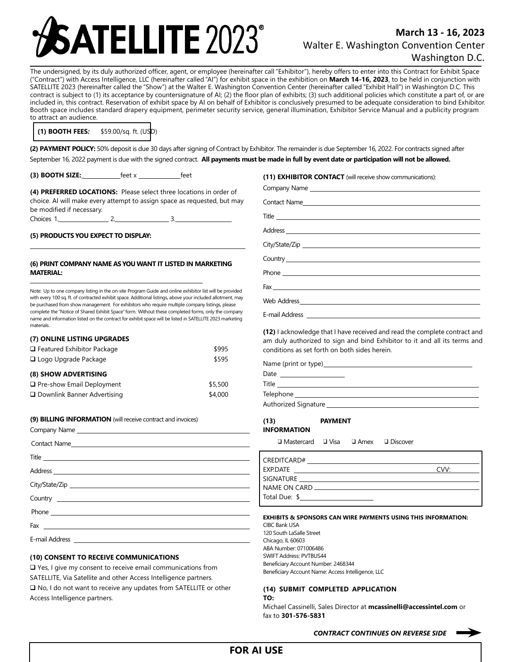# **FELLITE 2023**

# **March 13 - 16, 2023** Walter E. Washington Convention Center Washington D.C.

 The undersigned, by its duly authorized officer, agent, or employee (hereinafter call "Exhibitor"), hereby offers to enter into this Contract for Exhibit Space ("Contract") with Access Intelligence, LLC (hereinafter called "AI") for exhibit space in the exhibition on **March 14-16, 2023**, to be held in conjunction with SATELLITE 2023 (hereinafter called the "Show") at the Walter E. Washington Convention Center (hereinafter called "Exhibit Hall") in Washington D.C. This contract is subject to (1) its acceptance by countersignature of AI; (2) the floor plan of exhibits; (3) such additional policies which constitute a part of, or are included in, this contract. Reservation of exhibit space by AI on behalf of Exhibitor is conclusively presumed to be adequate consideration to bind Exhibitor. Booth space includes standard drapery equipment, perimeter security service, general illumination, Exhibitor Service Manual and a publicity program to attract an audience.

**(1) BOOTH FEES***:* \$59.00/sq. ft. (USD)

**(2) PAYMENT POLICY:** 50% deposit is due 30 days after signing of Contract by Exhibitor. The remainder is due September 16, 2022. For contracts signed after September 16, 2022 payment is due with the signed contract. **All payments must be made in full by event date or participation will not be allowed.**

**(3) BOOTH SIZE:** \_\_\_\_\_\_\_\_\_\_\_\_\_\_feet x \_\_\_\_\_\_\_\_\_\_\_\_\_\_feet

**(4) PREFERRED LOCATIONS:** Please select three locations in order of choice. AI will make every attempt to assign space as requested, but may be modified if necessary. Choices 1. 2. 2. 3.

# **(5) PRODUCTS YOU EXPECT TO DISPLAY:**

### **(6) PRINT COMPANY NAME AS YOUWANT IT LISTED IN MARKETING MATERIAL:**

Note: Up to one company listing in the on-site Program Guide and online exhibitor list will be provided with every 100 sq. ft. of contracted exhibit space. Additional listings, above your included allotment, may be purchased from show management. For exhibitors who require multiple company listings, please complete the "Notice of Shared Exhibit Space"form. Without these completed forms, only the company name and information listed on the contract for exhibit space will be listed in SATELLITE 2023 marketing materials.

| (7) ONLINE LISTING UPGRADES       |         |
|-----------------------------------|---------|
| $\Box$ Featured Exhibitor Package | \$995   |
| $\Box$ Logo Upgrade Package       | \$595   |
|                                   |         |
| (8) SHOW ADVERTISING              |         |
| $\Box$ Pre-show Email Deployment  | \$5,500 |

|  | (9) BILLING INFORMATION (will receive contract and invoices) |
|--|--------------------------------------------------------------|
|  |                                                              |

# **(10) CONSENT TO RECEIVE COMMUNICATIONS**

❑ Yes, I give my consent to receive email communications from SATELLITE, Via Satellite and other Access Intelligence partners. ❑ No, I do not want to receive any updates from SATELLITE or other Access Intelligence partners.

## **(11) EXHIBITOR CONTACT** (will receive show communications):

| $\begin{picture}(180,10) \put(0,0){\vector(1,0){100}} \put(15,0){\vector(1,0){100}} \put(15,0){\vector(1,0){100}} \put(15,0){\vector(1,0){100}} \put(15,0){\vector(1,0){100}} \put(15,0){\vector(1,0){100}} \put(15,0){\vector(1,0){100}} \put(15,0){\vector(1,0){100}} \put(15,0){\vector(1,0){100}} \put(15,0){\vector(1,0){100}} \put(15,0){\vector(1,0){100}}$ |
|--------------------------------------------------------------------------------------------------------------------------------------------------------------------------------------------------------------------------------------------------------------------------------------------------------------------------------------------------------------------|
|                                                                                                                                                                                                                                                                                                                                                                    |
| E-mail Address                                                                                                                                                                                                                                                                                                                                                     |

**(12)** I acknowledge that I have received and read the complete contract and am duly authorized to sign and bind Exhibitor to it and all its terms and conditions as set forth on both sides herein.

| Date<br>the control of the control of the control of the control of the control of |  |
|------------------------------------------------------------------------------------|--|
| Title                                                                              |  |
| Telephone _______________________                                                  |  |
|                                                                                    |  |

# **(13) PAYMENT INFORMATION**

❑ Mastercard ❑ Visa ❑ Amex ❑ Discover

| □ Visa | $\square$ Amex | $\square$ Discov |
|--------|----------------|------------------|
|        |                |                  |

| EXP.DATE      | CVV <sup>.</sup> |
|---------------|------------------|
| SIGNATURE     |                  |
|               |                  |
| Total Due: \$ |                  |

### **EXHIBITS & SPONSORS CAN WIRE PAYMENTS USING THIS INFORMATION:**

CIBC Bank USA 120 South LaSalle Street Chicago, IL 60603 ABA Number: 071006486 SWIFT Address: PVTBUS44 Beneficiary Account Number: 2468344 Beneficiary Account Name: Access Intelligence, LLC

### **(14) SUBMIT COMPLETED APPLICATION TO:**

Michael Cassinelli, Sales Director at **mcassinelli@accessintel.com** or fax to **301-576-5831**

*CONTRACT CONTINUES ON REVERSE SIDE*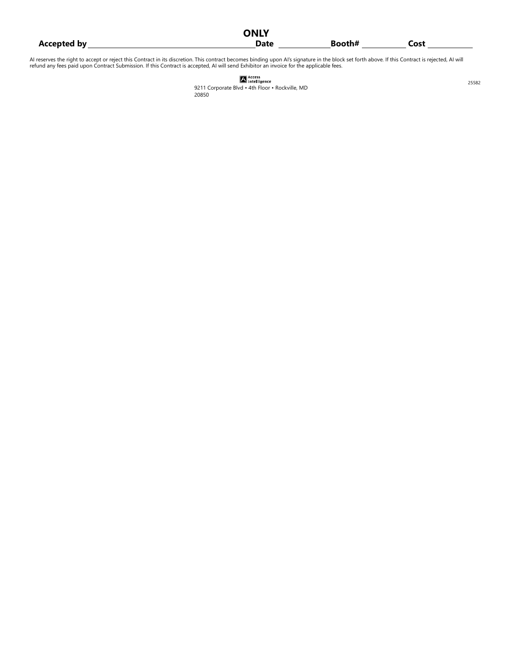|                    | <b>ONLY</b> |        |      |  |
|--------------------|-------------|--------|------|--|
| <b>Accepted by</b> | <b>Date</b> | Booth# | Cost |  |

AI reserves the right to accept or reject this Contract in its discretion. This contract becomes binding upon AI's signature in the block set forth above. If this Contract is rejected, AI will<br>refund any fees paid upon Con

| <b>A</b> Access<br><b>A</b> Intelligence |
|------------------------------------------|

9211 Corporate Blvd · 4th Floor · Rockville, MD 20850

25582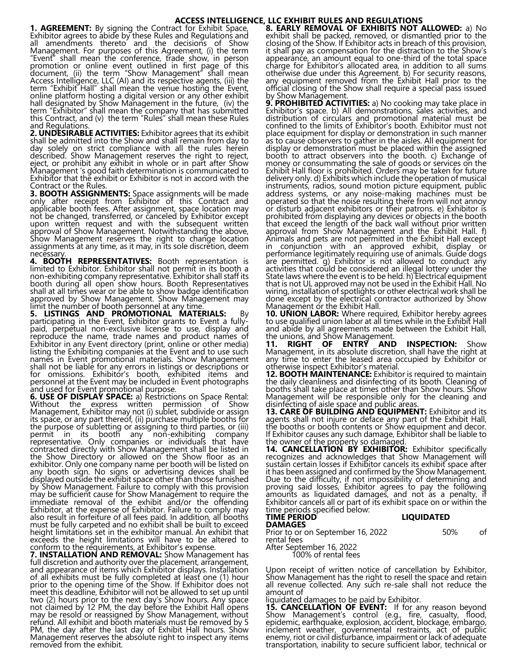# **ACCESS INTELLIGENCE, LLC EXHIBIT RULES AND REGULATIONS**

**1. AGREEMENT:** By signing the Contract for Exhibit Space, Exhibitor agrees to abide by these Rules and Regulations and all amendments thereto and the decisions of Show Management. For purposes of this Agreement, (i) the term "Event" shall mean the conference, trade show, in person promotion or online event outlined in first page of this document, (ii) the term "Show Management" shall mean Access Intelligence, LLC (AI) and its respective agents, (iii) the term "Exhibit Hall" shall mean the venue hosting the Event, online platform hosting a digital version or any other exhibit hall designated by Show Management in the future, (iv) the term "Exhibitor" shall mean the company that has submitted this Contract, and (v) the term "Rules" shall mean these Rules and Regulations.

**2. UNDESIRABLE ACTIVITIES:** Exhibitor agrees that its exhibit shall be admitted into the Show and shall remain from day to day solely on strict compliance with all the rules herein described. Show Management reserves the right to reject, eject, or prohibit any exhibit in whole or in part after Show Management 's good faith determination is communicated to Exhibitor that the exhibit or Exhibitor is not in accord with the Contract or the Rules.

**3. BOOTH ASSIGNMENTS:** Space assignments will be made only after receipt from Exhibitor of this Contract and applicable booth fees. After assignment, space location may not be changed, transferred, or canceled by Exhibitor except upon written request and with the subsequent written approval of Show Management. Notwithstanding the above, Show Management reserves the right to change location assignments at any time, as it may, in its sole discretion, deem necessary

**4. BOOTH REPRESENTATIVES:** Booth representation is limited to Exhibitor. Exhibitor shall not permit in its booth a non-exhibiting company representative. Exhibitor shall staff its booth during all open show hours. Booth Representatives shall at all times wear or be able to show badge identification approved by Show Management. Show Management may limit the number of booth personnel at any time.

**5. LISTINGS AND PROMOTIONAL MATERIALS:** By participating in the Event, Exhibitor grants to Event a fullypaid, perpetual non-exclusive license to use, display and reproduce the name, trade names and product names of Exhibitor in any Event directory (print, online or other media) listing the Exhibiting companies at the Event and to use such names in Event promotional materials. Show Management shall not be liable for any errors in listings or descriptions or for omissions. Exhibitor's booth, exhibited items and personnel at the Event may be included in Event photographs and used for Event promotional purpose.

**6. USE OF DISPLAY SPACE:** a) Restrictions on Space Rental: Without the express written permission of Show Without the express written permission of Show<br>Management, Exhibitor may not (i) sublet, subdivide or assign its space, or any part thereof, (ii) purchase multiple booths for the purpose of subletting or assigning to third parties, or (iii) permit in its booth any non-exhibiting company representative. Only companies or individuals that have contracted directly with Show Management shall be listed in the Show Directory or allowed on the Show floor as an exhibitor. Only one company name per booth will be listed on any booth sign. No signs or advertising devices shall be displayed outside the exhibit space other than those furnished by Show Management. Failure to comply with this provision may be sufficient cause for Show Management to require the immediate removal of the exhibit and/or the offending Exhibitor, at the expense of Exhibitor. Failure to comply may also result in forfeiture of all fees paid. In addition, all booths must be fully carpeted and no exhibit shall be built to exceed height limitations set in the exhibitor manual. An exhibit that exceeds the height limitations will have to be altered to conform to the requirements, at Exhibitor's expense.

**7. INSTALLATION AND REMOVAL:** Show Management has full discretion and authority over the placement, arrangement, and appearance of items which Exhibitor displays. Installation of all exhibits must be fully completed at least one (1) hour prior to the opening time of the Show. If Exhibitor does not meet this deadline, Exhibitor will not be allowed to set up until two (2) hours prior to the next day's Show hours. Any space not claimed by 12 PM, the day before the Exhibit Hall opens may be resold or reassigned by Show Management, without refund. All exhibit and booth materials must be removed by 5 PM, the day after the last day of Exhibit Hall hours. Show Management reserves the absolute right to inspect any items removed from the exhibit.

**8. EARLY REMOVAL OF EXHIBITS NOT ALLOWED:** a) No exhibit shall be packed, removed, or dismantled prior to the closing of the Show. If Exhibitor acts in breach of this provision, it shall pay as compensation for the distraction to the Show's appearance, an amount equal to one-third of the total space charge for Exhibitor's allocated area, in addition to all sums otherwise due under this Agreement. b) For security reasons, any equipment removed from the Exhibit Hall prior to the official closing of the Show shall require a special pass issued by Show Management

**9. PROHIBITED ACTIVITIES:** a) No cooking may take place in Exhibitor's space. b) All demonstrations, sales activities, and distribution of circulars and promotional material must be confined to the limits of Exhibitor's booth. Exhibitor must not place equipment for display or demonstration in such manner as to cause observers to gather in the aisles. All equipment for display or demonstration must be placed within the assigned booth to attract observers into the booth. c) Exchange of money or consummating the sale of goods or services on the Exhibit Hall floor is prohibited. Orders may be taken for future delivery only. d) Exhibits which include the operation of musical instruments, radios, sound motion picture equipment, public address systems, or any noise-making machines must be operated so that the noise resulting there from will not annoy or disturb adjacent exhibitors or their patrons. e) Exhibitor is prohibited from displaying any devices or objects in the booth that exceed the length of the back wall without prior written approval from Show Management and the Exhibit Hall. f) Animals and pets are not permitted in the Exhibit Hall except in conjunction with an approved exhibit, display or performance legitimately requiring use of animals. Guide dogs are permitted. g) Exhibitor is not allowed to conduct any activities that could be considered an illegal lottery under the State laws where the event is to be held. h) Electrical equipment that is not UL approved may not be used in the Exhibit Hall. No wiring, installation of spotlights or other electrical work shall be done except by the electrical contractor authorized by Show Management or the Exhibit Hall.

**10. UNION LABOR:** Where required, Exhibitor hereby agrees to use qualified union labor at all times while in the Exhibit Hall and abide by all agreements made between the Exhibit Hall, the unions, and Show Management.

**11. RIGHT OF ENTRY AND INSPECTION:** Show Management, in its absolute discretion, shall have the right at any time to enter the leased area occupied by Exhibitor or otherwise inspect Exhibitor's material.

**12. BOOTH MAINTENANCE:** Exhibitor is required to maintain the daily cleanliness and disinfecting of its booth. Cleaning of booths shall take place at times other than Show hours. Show Management will be responsible only for the cleaning and disinfecting of aisle space and public areas.

**13. CARE OF BUILDING AND EQUIPMENT:** Exhibitor and its agents shall not injure or deface any part of the Exhibit Hall, the booths or booth contents or Show equipment and decor. If Exhibitor causes any such damage, Exhibitor shall be liable to the owner of the property so damaged.

14. **CANCELLATION BY EXHIBITOR:** Exhibitor specifically recognizes and acknowledges that Show Management will sustain certain losses if Exhibitor cancels its exhibit space after it has been assigned and confirmed by the Show Management. Due to the difficulty, if not impossibility of determining and proving said losses, Exhibitor agrees to pay the following amounts as liquidated damages, and not as a penalty, if Exhibitor cancels all or part of its exhibit space on or within the time periods specified below:

# TIME PERIOD **Research Studies Contained A**

**DAMAGES** 

Prior to or on September 16, 2022 50% of rental fees After September 16, 2022

100% of rental fees

Upon receipt of written notice of cancellation by Exhibitor, Show Management has the right to resell the space and retain all revenue collected. Any such re-sale shall not reduce the amount of

liquidated damages to be paid by Exhibitor.

**15. CANCELLATION OF EVENT:** If for any reason beyond Show Management's control (e.g., fire, casualty, flood, epidemic, earthquake, explosion, accident, blockage, embargo, inclement weather, governmental restraints, act of public enemy, riot or civil disturbance, impairment or lack of adequate transportation, inability to secure sufficient labor, technical or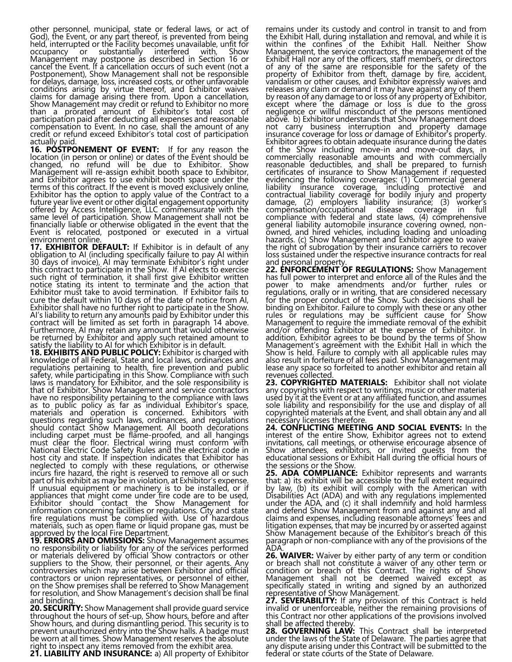other personnel, municipal, state or federal laws, or act of God), the Event, or any part thereof, is prevented from being held, interrupted or the Facility becomes unavailable, unfit for occupancy or substantially interfered with, Show Management may postpone as described in Section 16 or cancel the Event. If a cancellation occurs of such event (not a Postponement), Show Management shall not be responsible for delays, damage, loss, increased costs, or other unfavorable conditions arising by virtue thereof, and Exhibitor waives claims for damage arising there from. Upon a cancellation, Show Management may credit or refund to Exhibitor no more than a prorated amount of Exhibitor's total cost of participation paid after deducting all expenses and reasonable compensation to Event. In no case, shall the amount of any credit or refund exceed Exhibitor's total cost of participation actually paid.

**16. POSTPONEMENT OF EVENT:** If for any reason the location (in person or online) or dates of the Event should be changed, no refund will be due to Exhibitor. Show Management will re-assign exhibit booth space to Exhibitor, and Exhibitor agrees to use exhibit booth space under the terms of this contract. If the event is moved exclusively online, Exhibitor has the option to apply value of the Contract to a future year live event or other digital engagement opportunity offered by Access Intelligence, LLC commensurate with the same level of participation. Show Management shall not be financially liable or otherwise obligated in the event that the Event is relocated, postponed or executed in a virtual environment online.

**17. EXHIBITOR DEFAULT:** If Exhibitor is in default of any obligation to AI (including specifically failure to pay AI within 30 days of invoice), AI may terminate Exhibitor's right under this contract to participate in the Show. If AI elects to exercise such right of termination, it shall first give Exhibitor written notice stating its intent to terminate and the action that Exhibitor must take to avoid termination. If Exhibitor fails to cure the default within 10 days of the date of notice from AI, Exhibitor shall have no further right to participate in the Show. AI's liability to return any amounts paid by Exhibitor under this contract will be limited as set forth in paragraph 14 above. Furthermore, AI may retain any amount that would otherwise be returned by Exhibitor and apply such retained amount to satisfy the liability to AI for which Exhibitor is in default.

**18. EXHIBITS AND PUBLIC POLICY:** Exhibitor is charged with knowledge of all Federal, State and local laws, ordinances and regulations pertaining to health, fire prevention and public safety, while participating in this Show. Compliance with such laws is mandatory for Exhibitor, and the sole responsibility is that of Exhibitor. Show Management and service contractors have no responsibility pertaining to the compliance with laws as to public policy as far as individual Exhibitor's space, materials and operation is concerned. Exhibitors with questions regarding such laws, ordinances, and regulations should contact Show Management. All booth decorations including carpet must be flame-proofed, and all hangings must clear the floor. Electrical wiring must conform with National Electric Code Safety Rules and the electrical code in host city and state. If inspection indicates that Exhibitor has neglected to comply with these regulations, or otherwise incurs fire hazard, the right is reserved to remove all or such part of his exhibit as may be in violation, at Exhibitor's expense. If unusual equipment or machinery is to be installed, or if appliances that might come under fire code are to be used, Exhibitor should contact the Show Management for information concerning facilities or regulations. City and state fire regulations must be complied with. Use of hazardous materials, such as open flame or liquid propane gas, must be approved by the local Fire Department.

**19. ERRORS AND OMISSIONS:** Show Management assumes no responsibility or liability for any of the services performed or materials delivered by official Show contractors or other suppliers to the Show, their personnel, or their agents. Any controversies which may arise between Exhibitor and official contractors or union representatives, or personnel of either, on the Show premises shall be referred to Show Management for resolution, and Show Management's decision shall be final and binding.

**20. SECURITY:** Show Management shall provide guard service throughout the hours of set-up, Show hours, before and after Show hours, and during dismantling period. This security is to prevent unauthorized entry into the Show halls. A badge must be worn at all times. Show Management reserves the absolute right to inspect any items removed from the exhibit area.

**21. LIABILITY AND INSURANCE:** a) All property of Exhibitor

remains under its custody and control in transit to and from the Exhibit Hall, during installation and removal, and while it is within the confines of the Exhibit Hall. Neither Show Management, the service contractors, the management of the Exhibit Hall nor any of the officers, staff members, or directors of any of the same are responsible for the safety of the property of Exhibitor from theft, damage by fire, accident, vandalism or other causes, and Exhibitor expressly waives and releases any claim or demand it may have against any of them by reason of any damage to or loss of any property of Exhibitor, except where the damage or loss is due to the gross negligence or willful misconduct of the persons mentioned above. b) Exhibitor understands that Show Management does not carry business interruption and property damage insurance coverage for loss or damage of Exhibitor's property. Exhibitor agrees to obtain adequate insurance during the dates of the Show including move-in and move-out days, in commercially reasonable amounts and with commercially reasonable deductibles, and shall be prepared to furnish certificates of insurance to Show Management if requested evidencing the following coverages: (1) Commercial general liability insurance coverage, including protective and contractual liability coverage for bodily injury and property damage, (2) employers liability insurance; (3) worker's compensation/occupational disease coverage in full compliance with federal and state laws, (4) comprehensive general liability automobile insurance covering owned, nonowned, and hired vehicles, including loading and unloading hazards. (c) Show Management and Exhibitor agree to waive the right of subrogation by their insurance carriers to recover loss sustained under the respective insurance contracts for real and personal property.

**22. ENFORCEMENT OF REGULATIONS:** Show Management has full power to interpret and enforce all of the Rules and the power to make amendments and/or further rules or regulations, orally or in writing, that are considered necessary for the proper conduct of the Show. Such decisions shall be binding on Exhibitor. Failure to comply with these or any other rules or regulations may be sufficient cause for Show Management to require the immediate removal of the exhibit and/or offending Exhibitor at the expense of Exhibitor. In addition, Exhibitor agrees to be bound by the terms of Show Management's agreement with the Exhibit Hall in which the Show is held. Failure to comply with all applicable rules may also result in forfeiture of all fees paid. Show Management may lease any space so forfeited to another exhibitor and retain all revenues collected.

**23. COPYRIGHTED MATERIALS:** Exhibitor shall not violate any copyrights with respect to writings, music or other material used by it at the Event or at any affiliated function, and assumes sole liability and responsibility for the use and display of all copyrighted materials at the Event, and shall obtain any and all necessary licenses therefore.

**24. CONFLICTING MEETING AND SOCIAL EVENTS:** In the interest of the entire Show, Exhibitor agrees not to extend invitations, call meetings, or otherwise encourage absence of Show attendees, exhibitors, or invited guests from the educational sessions or Exhibit Hall during the official hours of the sessions or the Show.

25. ADA COMPLIANCE: Exhibitor represents and warrants that: a) its exhibit will be accessible to the full extent required by law, (b) its exhibit will comply with the American with Disabilities Act (ADA) and with any regulations implemented under the ADA, and (c) it shall indemnify and hold harmless and defend Show Management from and against any and all claims and expenses, including reasonable attorneys' fees and litigation expenses, that may be incurred by or asserted against Show Management because of the Exhibitor's breach of this paragraph or non-compliance with any of the provisions of the ADA.

**26. WAIVER:** Waiver by either party of any term or condition or breach shall not constitute a waiver of any other term or condition or breach of this Contract. The rights of Show Management shall not be deemed waived except as specifically stated in writing and signed by an authorized representative of Show Management.

27. SEVERABILITY: If any provision of this Contract is held invalid or unenforceable, neither the remaining provisions of this Contract nor other applications of the provisions involved shall be affected thereby.

**28. GOVERNING LAW:** This Contract shall be interpreted under the laws of the State of Delaware. The parties agree that any dispute arising under this Contract will be submitted to the federal or state courts of the State of Delaware.